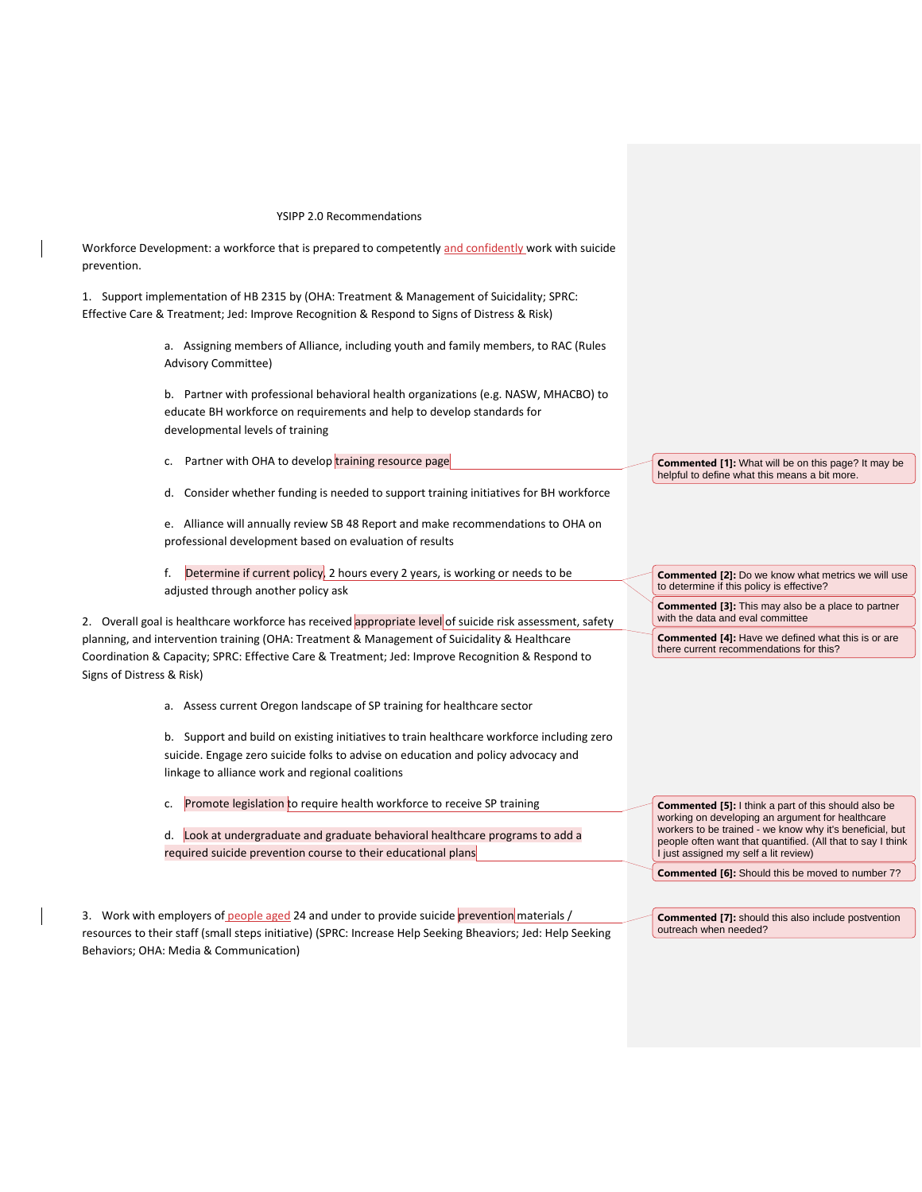## YSIPP 2.0 Recommendations

Workforce Development: a workforce that is prepared to competently and confidently work with suicide prevention.

1. Support implementation of HB 2315 by (OHA: Treatment & Management of Suicidality; SPRC: Effective Care & Treatment; Jed: Improve Recognition & Respond to Signs of Distress & Risk)

> a. Assigning members of Alliance, including youth and family members, to RAC (Rules Advisory Committee)

> b. Partner with professional behavioral health organizations (e.g. NASW, MHACBO) to educate BH workforce on requirements and help to develop standards for developmental levels of training

c. Partner with OHA to develop training resource page

d. Consider whether funding is needed to support training initiatives for BH workforce

e. Alliance will annually review SB 48 Report and make recommendations to OHA on professional development based on evaluation of results

f. Determine if current policy, 2 hours every 2 years, is working or needs to be adjusted through another policy ask

2. Overall goal is healthcare workforce has received appropriate level of suicide risk assessment, safety planning, and intervention training (OHA: Treatment & Management of Suicidality & Healthcare Coordination & Capacity; SPRC: Effective Care & Treatment; Jed: Improve Recognition & Respond to Signs of Distress & Risk)

a. Assess current Oregon landscape of SP training for healthcare sector

b. Support and build on existing initiatives to train healthcare workforce including zero suicide. Engage zero suicide folks to advise on education and policy advocacy and linkage to alliance work and regional coalitions

- c. Promote legislation to require health workforce to receive SP training
- d. Look at undergraduate and graduate behavioral healthcare programs to add a required suicide prevention course to their educational plans

3. Work with employers of people aged 24 and under to provide suicide prevention materials / resources to their staff (small steps initiative) (SPRC: Increase Help Seeking Bheaviors; Jed: Help Seeking Behaviors; OHA: Media & Communication)

**Commented [1]:** What will be on this page? It may be helpful to define what this means a bit more.

**Commented [2]:** Do we know what metrics we will use to determine if this policy is effective?

**Commented [3]:** This may also be a place to partner with the data and eval committee

**Commented [4]:** Have we defined what this is or are there current recommendations for this?

**Commented [5]:** I think a part of this should also be working on developing an argument for healthcare workers to be trained - we know why it's beneficial, but people often want that quantified. (All that to say I think I just assigned my self a lit review)

**Commented [6]:** Should this be moved to number 7?

**Commented [7]:** should this also include postvention outreach when needed?